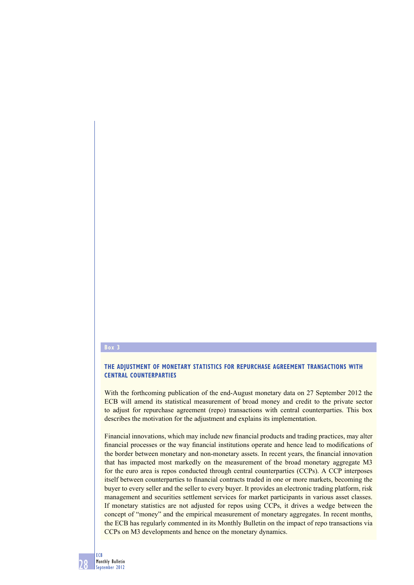### **Box 3**

## **THE ADJUSTMENT OF MONETARY STATISTICS FOR REPURCHASE AGREEMENT TRANSACTIONS WITH CENTRAL COUNTERPARTIES**

With the forthcoming publication of the end-August monetary data on 27 September 2012 the ECB will amend its statistical measurement of broad money and credit to the private sector to adjust for repurchase agreement (repo) transactions with central counterparties. This box describes the motivation for the adjustment and explains its implementation.

Financial innovations, which may include new financial products and trading practices, may alter financial processes or the way financial institutions operate and hence lead to modifications of the border between monetary and non-monetary assets. In recent years, the financial innovation that has impacted most markedly on the measurement of the broad monetary aggregate M3 for the euro area is repos conducted through central counterparties (CCPs). A CCP interposes itself between counterparties to financial contracts traded in one or more markets, becoming the buyer to every seller and the seller to every buyer. It provides an electronic trading platform, risk management and securities settlement services for market participants in various asset classes. If monetary statistics are not adjusted for repos using CCPs, it drives a wedge between the concept of "money" and the empirical measurement of monetary aggregates. In recent months, the ECB has regularly commented in its Monthly Bulletin on the impact of repo transactions via CCPs on M3 developments and hence on the monetary dynamics.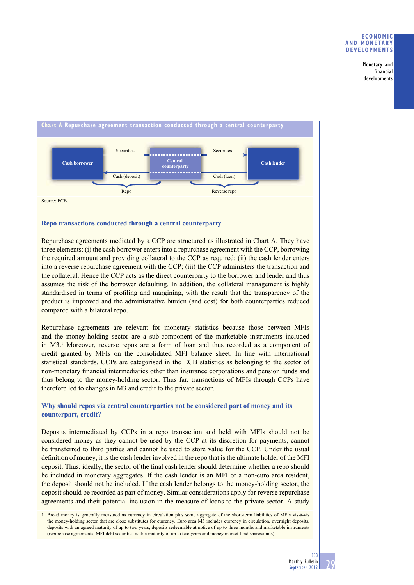Monetary and financial developments



Source: ECB.

## **Repo transactions conducted through a central counterparty**

Repurchase agreements mediated by a CCP are structured as illustrated in Chart A. They have three elements: (i) the cash borrower enters into a repurchase agreement with the CCP, borrowing the required amount and providing collateral to the CCP as required; (ii) the cash lender enters into a reverse repurchase agreement with the CCP; (iii) the CCP administers the transaction and the collateral. Hence the CCP acts as the direct counterparty to the borrower and lender and thus assumes the risk of the borrower defaulting. In addition, the collateral management is highly standardised in terms of profiling and margining, with the result that the transparency of the product is improved and the administrative burden (and cost) for both counterparties reduced compared with a bilateral repo.

Repurchase agreements are relevant for monetary statistics because those between MFIs and the money-holding sector are a sub-component of the marketable instruments included in M3.<sup>1</sup> Moreover, reverse repos are a form of loan and thus recorded as a component of credit granted by MFIs on the consolidated MFI balance sheet. In line with international statistical standards, CCPs are categorised in the ECB statistics as belonging to the sector of non-monetary financial intermediaries other than insurance corporations and pension funds and thus belong to the money-holding sector. Thus far, transactions of MFIs through CCPs have therefore led to changes in M3 and credit to the private sector.

## **Why should repos via central counterparties not be considered part of money and its counterpart, credit?**

Deposits intermediated by CCPs in a repo transaction and held with MFIs should not be considered money as they cannot be used by the CCP at its discretion for payments, cannot be transferred to third parties and cannot be used to store value for the CCP. Under the usual definition of money, it is the cash lender involved in the repo that is the ultimate holder of the MFI deposit. Thus, ideally, the sector of the final cash lender should determine whether a repo should be included in monetary aggregates. If the cash lender is an MFI or a non-euro area resident, the deposit should not be included. If the cash lender belongs to the money-holding sector, the deposit should be recorded as part of money. Similar considerations apply for reverse repurchase agreements and their potential inclusion in the measure of loans to the private sector. A study

<sup>1</sup> Broad money is generally measured as currency in circulation plus some aggregate of the short-term liabilities of MFIs vis-à-vis the money-holding sector that are close substitutes for currency. Euro area M3 includes currency in circulation, overnight deposits, deposits with an agreed maturity of up to two years, deposits redeemable at notice of up to three months and marketable instruments (repurchase agreements, MFI debt securities with a maturity of up to two years and money market fund shares/units).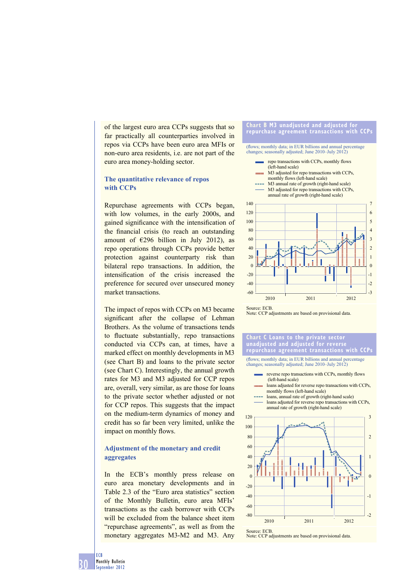of the largest euro area CCPs suggests that so far practically all counterparties involved in repos via CCPs have been euro area MFIs or non-euro area residents, i.e. are not part of the euro area money-holding sector.

## **The quantitative relevance of repos with CCPs**

Repurchase agreements with CCPs began, with low volumes, in the early 2000s, and gained significance with the intensification of the financial crisis (to reach an outstanding amount of  $\epsilon$ 296 billion in July 2012), as repo operations through CCPs provide better protection against counterparty risk than bilateral repo transactions. In addition, the intensification of the crisis increased the preference for secured over unsecured money market transactions.

The impact of repos with CCPs on M3 became significant after the collapse of Lehman Brothers. As the volume of transactions tends to fluctuate substantially, repo transactions conducted via CCPs can, at times, have a marked effect on monthly developments in M3 (see Chart B) and loans to the private sector (see Chart C). Interestingly, the annual growth rates for M3 and M3 adjusted for CCP repos are, overall, very similar, as are those for loans to the private sector whether adjusted or not for CCP repos. This suggests that the impact on the medium-term dynamics of money and credit has so far been very limited, unlike the impact on monthly flows.

## **Adjustment of the monetary and credit aggregates**

In the ECB's monthly press release on euro area monetary developments and in Table 2.3 of the "Euro area statistics" section of the Monthly Bulletin, euro area MFIs' transactions as the cash borrower with CCPs will be excluded from the balance sheet item "repurchase agreements", as well as from the monetary aggregates M3-M2 and M3. Any

#### **Chart B M3 unadjusted and adjusted for repurchase agreement transactions with CCPs**

# (flows; monthly data; in EUR billions and annual percentage changes; seasonally adjusted; June 2010–July 2012)



M<sub>3</sub> adjusted for repo transactions with CCPs. annual rate of growth (right-hand scale)



Source: ECB. Note: CCP adjustments are based on provisional data.

#### **Chart C Loans to the private sector unadjusted and adjusted for reverse repurchase agreement transactions with CCPs**

(flows; monthly data; in EUR billions and annual percentage changes; seasonally adjusted; June 2010–July 2012)

- reverse repo transactions with CCPs, monthly flows (left-hand scale)
- loans adjusted for reverse repo transactions with CCPs, monthly flows (left-hand scale)
- loans, annual rate of growth (right-hand scale) loans adjusted for reverse repo transactions with CCPs. annual rate of growth (right-hand scale)